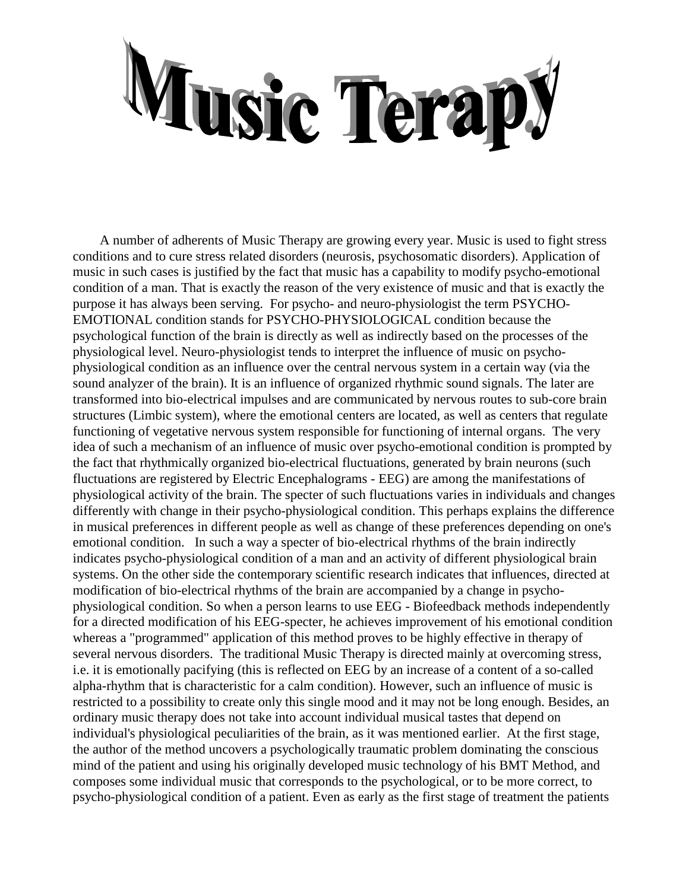## Music Terapy

 A number of adherents of Music Therapy are growing every year. Music is used to fight stress conditions and to cure stress related disorders (neurosis, psychosomatic disorders). Application of music in such cases is justified by the fact that music has a capability to modify psycho-emotional condition of a man. That is exactly the reason of the very existence of music and that is exactly the purpose it has always been serving. For psycho- and neuro-physiologist the term PSYCHO-EMOTIONAL condition stands for PSYCHO-PHYSIOLOGICAL condition because the psychological function of the brain is directly as well as indirectly based on the processes of the physiological level. Neuro-physiologist tends to interpret the influence of music on psychophysiological condition as an influence over the central nervous system in a certain way (via the sound analyzer of the brain). It is an influence of organized rhythmic sound signals. The later are transformed into bio-electrical impulses and are communicated by nervous routes to sub-core brain structures (Limbic system), where the emotional centers are located, as well as centers that regulate functioning of vegetative nervous system responsible for functioning of internal organs. The very idea of such a mechanism of an influence of music over psycho-emotional condition is prompted by the fact that rhythmically organized bio-electrical fluctuations, generated by brain neurons (such fluctuations are registered by Electric Encephalograms - EEG) are among the manifestations of physiological activity of the brain. The specter of such fluctuations varies in individuals and changes differently with change in their psycho-physiological condition. This perhaps explains the difference in musical preferences in different people as well as change of these preferences depending on one's emotional condition. In such a way a specter of bio-electrical rhythms of the brain indirectly indicates psycho-physiological condition of a man and an activity of different physiological brain systems. On the other side the contemporary scientific research indicates that influences, directed at modification of bio-electrical rhythms of the brain are accompanied by a change in psychophysiological condition. So when a person learns to use EEG - Biofeedback methods independently for a directed modification of his EEG-specter, he achieves improvement of his emotional condition whereas a "programmed" application of this method proves to be highly effective in therapy of several nervous disorders. The traditional Music Therapy is directed mainly at overcoming stress, i.e. it is emotionally pacifying (this is reflected on EEG by an increase of a content of a so-called alpha-rhythm that is characteristic for a calm condition). However, such an influence of music is restricted to a possibility to create only this single mood and it may not be long enough. Besides, an ordinary music therapy does not take into account individual musical tastes that depend on individual's physiological peculiarities of the brain, as it was mentioned earlier. At the first stage, the author of the method uncovers a psychologically traumatic problem dominating the conscious mind of the patient and using his originally developed music technology of his BMT Method, and composes some individual music that corresponds to the psychological, or to be more correct, to psycho-physiological condition of a patient. Even as early as the first stage of treatment the patients